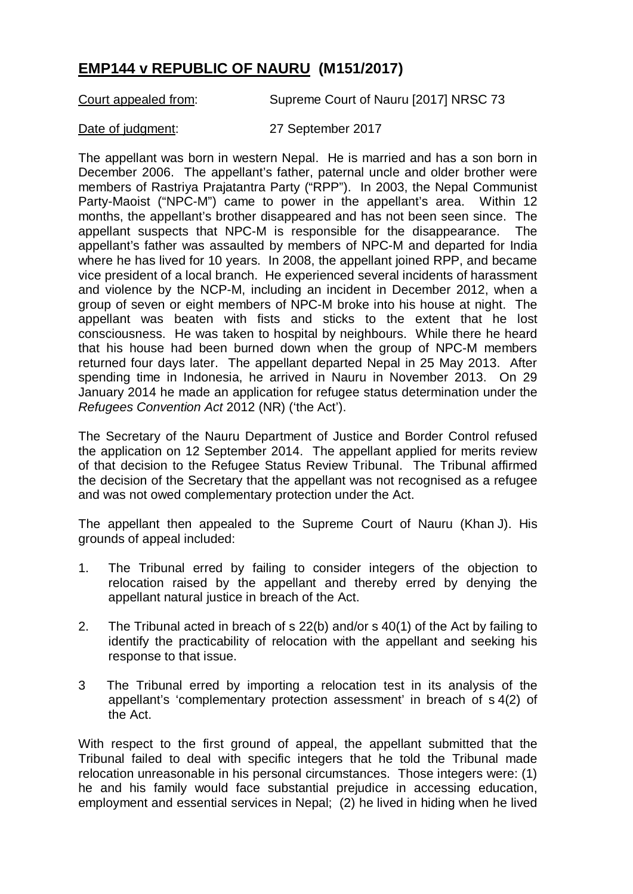## **EMP144 v REPUBLIC OF NAURU (M151/2017)**

Court appealed from: Supreme Court of Nauru [2017] NRSC 73

Date of judgment: 27 September 2017

The appellant was born in western Nepal. He is married and has a son born in December 2006. The appellant's father, paternal uncle and older brother were members of Rastriya Prajatantra Party ("RPP"). In 2003, the Nepal Communist Party-Maoist ("NPC-M") came to power in the appellant's area. Within 12 months, the appellant's brother disappeared and has not been seen since. The appellant suspects that NPC-M is responsible for the disappearance. The appellant's father was assaulted by members of NPC-M and departed for India where he has lived for 10 years. In 2008, the appellant joined RPP, and became vice president of a local branch. He experienced several incidents of harassment and violence by the NCP-M, including an incident in December 2012, when a group of seven or eight members of NPC-M broke into his house at night. The appellant was beaten with fists and sticks to the extent that he lost consciousness. He was taken to hospital by neighbours. While there he heard that his house had been burned down when the group of NPC-M members returned four days later. The appellant departed Nepal in 25 May 2013. After spending time in Indonesia, he arrived in Nauru in November 2013. On 29 January 2014 he made an application for refugee status determination under the *Refugees Convention Act* 2012 (NR) ('the Act').

The Secretary of the Nauru Department of Justice and Border Control refused the application on 12 September 2014. The appellant applied for merits review of that decision to the Refugee Status Review Tribunal. The Tribunal affirmed the decision of the Secretary that the appellant was not recognised as a refugee and was not owed complementary protection under the Act.

The appellant then appealed to the Supreme Court of Nauru (Khan J). His grounds of appeal included:

- 1. The Tribunal erred by failing to consider integers of the objection to relocation raised by the appellant and thereby erred by denying the appellant natural justice in breach of the Act.
- 2. The Tribunal acted in breach of s 22(b) and/or s 40(1) of the Act by failing to identify the practicability of relocation with the appellant and seeking his response to that issue.
- 3 The Tribunal erred by importing a relocation test in its analysis of the appellant's 'complementary protection assessment' in breach of s 4(2) of the Act.

With respect to the first ground of appeal, the appellant submitted that the Tribunal failed to deal with specific integers that he told the Tribunal made relocation unreasonable in his personal circumstances. Those integers were: (1) he and his family would face substantial prejudice in accessing education, employment and essential services in Nepal; (2) he lived in hiding when he lived